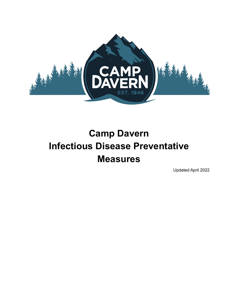

# **Camp Davern Infectious Disease Preventative Measures**

Updated April 2022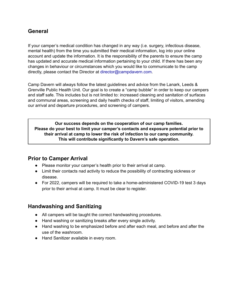### **General**

If your camper's medical condition has changed in any way (i.e. surgery, infectious disease, mental health) from the time you submitted their medical information, log into your online account and update the information. It is the responsibility of the parents to ensure the camp has updated and accurate medical information pertaining to your child. If there has been any changes in behaviour or circumstances which you would like to communicate to the camp directly, please contact the Director at director@campdavern.com.

Camp Davern will always follow the latest guidelines and advice from the Lanark, Leeds & Grenville Public Health Unit. Our goal is to create a "camp bubble" in order to keep our campers and staff safe. This includes but is not limited to: increased cleaning and sanitation of surfaces and communal areas, screening and daily health checks of staff, limiting of visitors, amending our arrival and departure procedures, and screening of campers.

**Our success depends on the cooperation of our camp families. Please do your best to limit your camper's contacts and exposure potential prior to their arrival at camp to lower the risk of infection to our camp community. This will contribute significantly to Davern's safe operation.**

#### **Prior to Camper Arrival**

- Please monitor your camper's health prior to their arrival at camp.
- Limit their contacts nad activity to reduce the possibility of contracting sickness or disease.
- For 2022, campers will be required to take a home-administered COVID-19 test 3 days prior to their arrival at camp. It must be clear to register.

#### **Handwashing and Sanitizing**

- All campers will be taught the correct handwashing procedures.
- Hand washing or sanitizing breaks after every single activity.
- Hand washing to be emphasized before and after each meal, and before and after the use of the washroom.
- Hand Sanitizer available in every room.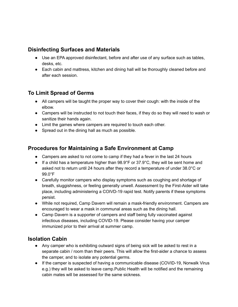# **Disinfecting Surfaces and Materials**

- Use an EPA approved disinfectant, before and after use of any surface such as tables, desks, etc.
- Each cabin and mattress, kitchen and dining hall will be thoroughly cleaned before and after each session.

# **To Limit Spread of Germs**

- All campers will be taught the proper way to cover their cough: with the inside of the elbow.
- Campers will be instructed to not touch their faces, if they do so they will need to wash or sanitize their hands again.
- Limit the games where campers are required to touch each other.
- Spread out in the dining hall as much as possible.

# **Procedures for Maintaining a Safe Environment at Camp**

- Campers are asked to not come to camp if they had a fever in the last 24 hours
- If a child has a temperature higher than  $98.9^{\circ}$ F or  $37.9^{\circ}$ C, they will be sent home and asked not to return until 24 hours after they record a temperature of under 38.0°C or 99.0°F
- Carefully monitor campers who display symptoms such as coughing and shortage of breath, sluggishness, or feeling generally unwell. Assessment by the First-Aider will take place, including administering a COIVD-19 rapid test. Notify parents if these symptoms persist.
- While not required, Camp Davern will remain a mask-friendly environment. Campers are encouraged to wear a mask in communal areas such as the dining hall.
- Camp Davern is a supporter of campers and staff being fully vaccinated against infectious diseases, including COVID-19. Please consider having your camper immunized prior to their arrival at summer camp.

# **Isolation Cabin**

- Any camper who is exhibiting outward signs of being sick will be asked to rest in a separate cabin / room than their peers. This will allow the first-aider a chance to assess the camper, and to isolate any potential germs.
- If the camper is suspected of having a communicable disease (COVID-19, Norwalk Virus e.g.) they will be asked to leave camp.Public Health will be notified and the remaining cabin mates will be assessed for the same sickness.